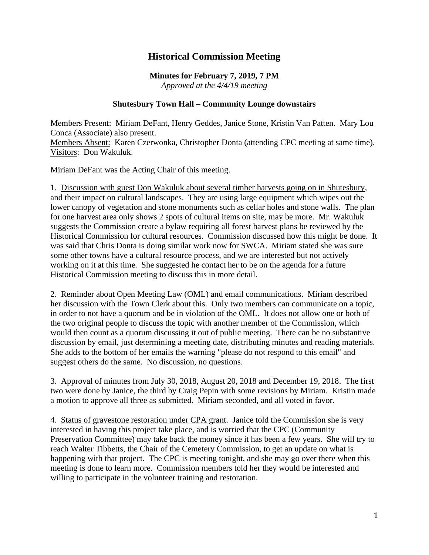## **Historical Commission Meeting**

## **Minutes for February 7, 2019, 7 PM** *Approved at the 4/4/19 meeting*

## **Shutesbury Town Hall – Community Lounge downstairs**

Members Present: Miriam DeFant, Henry Geddes, Janice Stone, Kristin Van Patten. Mary Lou Conca (Associate) also present.

Members Absent: Karen Czerwonka, Christopher Donta (attending CPC meeting at same time). Visitors: Don Wakuluk.

Miriam DeFant was the Acting Chair of this meeting.

1. Discussion with guest Don Wakuluk about several timber harvests going on in Shutesbury, and their impact on cultural landscapes. They are using large equipment which wipes out the lower canopy of vegetation and stone monuments such as cellar holes and stone walls. The plan for one harvest area only shows 2 spots of cultural items on site, may be more. Mr. Wakuluk suggests the Commission create a bylaw requiring all forest harvest plans be reviewed by the Historical Commission for cultural resources. Commission discussed how this might be done. It was said that Chris Donta is doing similar work now for SWCA. Miriam stated she was sure some other towns have a cultural resource process, and we are interested but not actively working on it at this time. She suggested he contact her to be on the agenda for a future Historical Commission meeting to discuss this in more detail.

2. Reminder about Open Meeting Law (OML) and email communications. Miriam described her discussion with the Town Clerk about this. Only two members can communicate on a topic, in order to not have a quorum and be in violation of the OML. It does not allow one or both of the two original people to discuss the topic with another member of the Commission, which would then count as a quorum discussing it out of public meeting. There can be no substantive discussion by email, just determining a meeting date, distributing minutes and reading materials. She adds to the bottom of her emails the warning "please do not respond to this email" and suggest others do the same. No discussion, no questions.

3. Approval of minutes from July 30, 2018, August 20, 2018 and December 19, 2018. The first two were done by Janice, the third by Craig Pepin with some revisions by Miriam. Kristin made a motion to approve all three as submitted. Miriam seconded, and all voted in favor.

4. Status of gravestone restoration under CPA grant. Janice told the Commission she is very interested in having this project take place, and is worried that the CPC (Community Preservation Committee) may take back the money since it has been a few years. She will try to reach Walter Tibbetts, the Chair of the Cemetery Commission, to get an update on what is happening with that project. The CPC is meeting tonight, and she may go over there when this meeting is done to learn more. Commission members told her they would be interested and willing to participate in the volunteer training and restoration.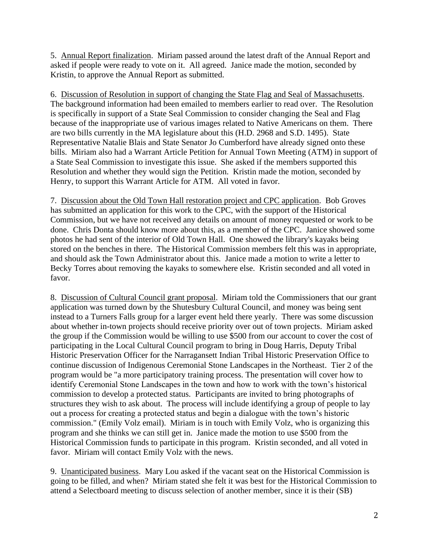5. Annual Report finalization. Miriam passed around the latest draft of the Annual Report and asked if people were ready to vote on it. All agreed. Janice made the motion, seconded by Kristin, to approve the Annual Report as submitted.

6. Discussion of Resolution in support of changing the State Flag and Seal of Massachusetts. The background information had been emailed to members earlier to read over. The Resolution is specifically in support of a State Seal Commission to consider changing the Seal and Flag because of the inappropriate use of various images related to Native Americans on them. There are two bills currently in the MA legislature about this (H.D. 2968 and S.D. 1495). State Representative Natalie Blais and State Senator Jo Cumberford have already signed onto these bills. Miriam also had a Warrant Article Petition for Annual Town Meeting (ATM) in support of a State Seal Commission to investigate this issue. She asked if the members supported this Resolution and whether they would sign the Petition. Kristin made the motion, seconded by Henry, to support this Warrant Article for ATM. All voted in favor.

7. Discussion about the Old Town Hall restoration project and CPC application. Bob Groves has submitted an application for this work to the CPC, with the support of the Historical Commission, but we have not received any details on amount of money requested or work to be done. Chris Donta should know more about this, as a member of the CPC. Janice showed some photos he had sent of the interior of Old Town Hall. One showed the library's kayaks being stored on the benches in there. The Historical Commission members felt this was in appropriate, and should ask the Town Administrator about this. Janice made a motion to write a letter to Becky Torres about removing the kayaks to somewhere else. Kristin seconded and all voted in favor.

8. Discussion of Cultural Council grant proposal. Miriam told the Commissioners that our grant application was turned down by the Shutesbury Cultural Council, and money was being sent instead to a Turners Falls group for a larger event held there yearly. There was some discussion about whether in-town projects should receive priority over out of town projects. Miriam asked the group if the Commission would be willing to use \$500 from our account to cover the cost of participating in the Local Cultural Council program to bring in Doug Harris, Deputy Tribal Historic Preservation Officer for the Narragansett Indian Tribal Historic Preservation Office to continue discussion of Indigenous Ceremonial Stone Landscapes in the Northeast. Tier 2 of the program would be "a more participatory training process. The presentation will cover how to identify Ceremonial Stone Landscapes in the town and how to work with the town's historical commission to develop a protected status. Participants are invited to bring photographs of structures they wish to ask about. The process will include identifying a group of people to lay out a process for creating a protected status and begin a dialogue with the town's historic commission." (Emily Volz email). Miriam is in touch with Emily Volz, who is organizing this program and she thinks we can still get in. Janice made the motion to use \$500 from the Historical Commission funds to participate in this program. Kristin seconded, and all voted in favor. Miriam will contact Emily Volz with the news.

9. Unanticipated business. Mary Lou asked if the vacant seat on the Historical Commission is going to be filled, and when? Miriam stated she felt it was best for the Historical Commission to attend a Selectboard meeting to discuss selection of another member, since it is their (SB)